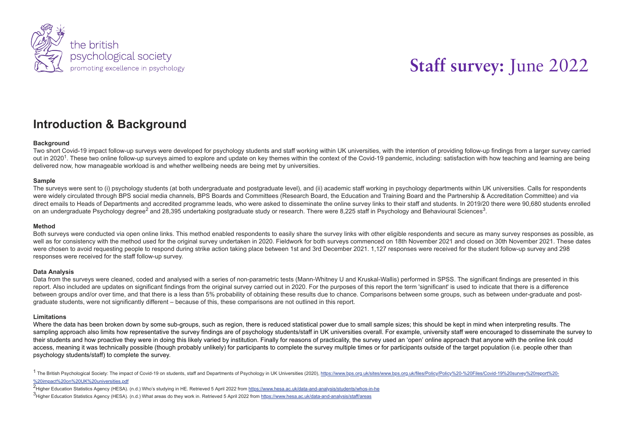

# **Introduction & Background**

## **Background**

Two short Covid-19 impact follow-up surveys were developed for psychology students and staff working within UK universities, with the intention of providing follow-up findings from a larger survey carried out in 2020<sup>1</sup>. These two online follow-up surveys aimed to explore and update on key themes within the context of the Covid-19 pandemic, including: satisfaction with how teaching and learning are being delivered now, how manageable workload is and whether wellbeing needs are being met by universities.

## **Sample**

The surveys were sent to (i) psychology students (at both undergraduate and postgraduate level), and (ii) academic staff working in psychology departments within UK universities. Calls for respondents were widely circulated through BPS social media channels, BPS Boards and Committees (Research Board, the Education and Training Board and the Partnership & Accreditation Committee) and via direct emails to Heads of Departments and accredited programme leads, who were asked to disseminate the online survey links to their staff and students. In 2019/20 there were 90,680 students enrolled on an undergraduate Psychology degree<sup>2</sup> and 28,395 undertaking postgraduate study or research. There were 8,225 staff in Psychology and Behavioural Sciences<sup>3</sup>.

#### **Method**

Both surveys were conducted via open online links. This method enabled respondents to easily share the survey links with other eligible respondents and secure as many survey responses as possible, as well as for consistency with the method used for the original survey undertaken in 2020. Fieldwork for both surveys commenced on 18th November 2021 and closed on 30th November 2021. These dates were chosen to avoid requesting people to respond during strike action taking place between 1st and 3rd December 2021, 1,127 responses were received for the student follow-up survey and 298 responses were received for the staff follow-up survey.

#### **Data Analysis**

Data from the surveys were cleaned, coded and analysed with a series of non-parametric tests (Mann-Whitney U and Kruskal-Wallis) performed in SPSS. The significant findings are presented in this report. Also included are updates on significant findings from the original survey carried out in 2020. For the purposes of this report the term 'significant' is used to indicate that there is a difference between groups and/or over time, and that there is a less than 5% probability of obtaining these results due to chance. Comparisons between some groups, such as between under-graduate and postgraduate students, were not significantly different – because of this, these comparisons are not outlined in this report.

#### **Limitations**

Where the data has been broken down by some sub-groups, such as region, there is reduced statistical power due to small sample sizes; this should be kept in mind when interpreting results. The sampling approach also limits how representative the survey findings are of psychology students/staff in UK universities overall. For example, university staff were encouraged to disseminate the survey to their students and how proactive they were in doing this likely varied by institution. Finally for reasons of practicality, the survey used an 'open' online approach that anyone with the online link could access, meaning it was technically possible (though probably unlikely) for participants to complete the survey multiple times or for participants outside of the target population (i.e. people other than psychology students/staff) to complete the survey.

<sup>1</sup> The British Psychological Society: The impact of Covid-19 on students, staff and Departments of Psychology in UK Universities (2020), https://www.bps.org.uk/sites/www.bps.org.uk/files/Policy/Policy/200-%20Files/Covid-1 %20impact%20on%20UK%20universities.pdf

2<br>Higher Education Statistics Agency (HESA). (n.d.) Who's studying in HE. Retrieved 5 April 2022 from <u>https://www.hesa.ac.uk/data-and-analysis/students/whos-in-he</u>

3<br>Higher Education Statistics Agency (HESA). (n.d.) What areas do they work in. Retrieved 5 April 2022 from <u>https://www.hesa.ac.uk/data-and-analysis/staff/areas</u>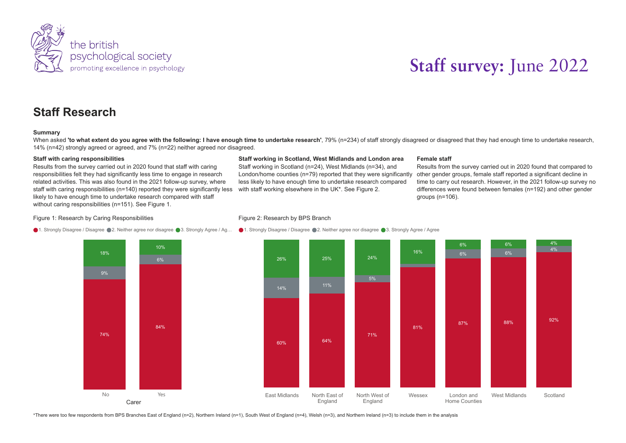

# **Staff Research**

#### **Summary**

When asked 'to what extent do you agree with the following: I have enough time to undertake research', 79% (n=234) of staff strongly disagreed or disagreed that they had enough time to undertake research, 14% (n=42) strongly agreed or agreed, and 7% (n=22) neither agreed nor disagreed.

#### **Staff with caring responsibilities**

Results from the survey carried out in 2020 found that staff with caring responsibilities felt they had significantly less time to engage in research related activities. This was also found in the 2021 follow-up survey, where staff with caring responsibilities (n=140) reported they were significantly less likely to have enough time to undertake research compared with staff without caring responsibilities (n=151). See Figure 1.

## **Staff working in Scotland, West Midlands and London area**

Staff working in Scotland (n=24), West Midlands (n=34), and London/home counties ( $n=79$ ) reported that they were significantly less likely to have enough time to undertake research compared with staff working elsewhere in the UK\*. See Figure 2.

#### **Female staff**

Results from the survey carried out in 2020 found that compared to other gender groups, female staff reported a significant decline in time to carry out research. However, in the 2021 follow-up survey no differences were found between females (n=192) and other gender groups (n=106).

#### Figure 1: Research by Caring Responsibilities

## Figure 2: Research by BPS Branch



1. Strongly Disagree / Disagree ●2. Neither agree nor disagree ●3. Strongly Agree / Ag… ●1. Strongly Disagree ●2. Neither agree nor disagree ●3. Strongly Agree / Agree

\*There were too few respondents from BPS Branches East of England (n=2), Northern Ireland (n=1), South West of England (n=4), Welsh (n=3), and Northern Ireland (n=3) to include them in the analysis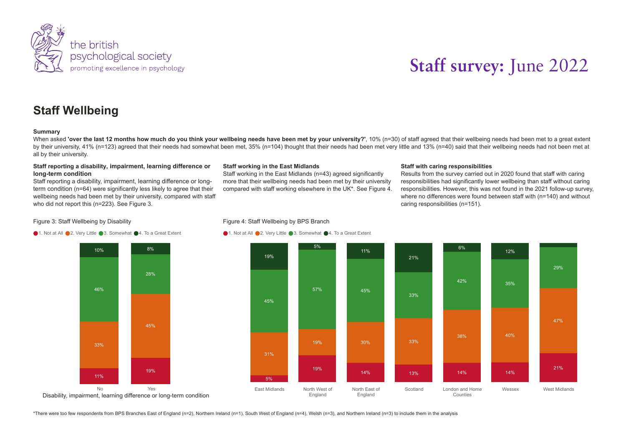

# **Staff Wellbeing**

#### **Summary**

When asked 'over the last 12 months how much do you think your wellbeing needs have been met by your university?'. 10% (n=30) of staff agreed that their wellbeing needs had been met to a great extent by their university, 41% (n=123) agreed that their needs had somewhat been met, 35% (n=104) thought that their needs had been met very little and 13% (n=40) said that their wellbeing needs had not been met at all by their university.

## **Staff reporting a disability, impairment, learning difference or long-term condition**

Staff reporting a disability, impairment, learning difference or longterm condition (n=64) were significantly less likely to agree that their wellbeing needs had been met by their university, compared with staff who did not report this (n=223). See Figure 3.

## **Staff working in the East Midlands**

Staff working in the East Midlands (n=43) agreed significantly more that their wellbeing needs had been met by their university compared with staff working elsewhere in the UK\*. See Figure 4.

## **Staff with caring responsibilities**

Results from the survey carried out in 2020 found that staff with caring responsibilities had significantly lower wellbeing than staff without caring responsibilities. However, this was not found in the 2021 follow-up survey, where no differences were found between staff with (n=140) and without caring responsibilities (n=151).

#### Figure 3: Staff Wellbeing by Disability



#### Figure 4: Staff Wellbeing by BPS Branch

#### ● 1. Not at All ● 2. Very Little ● 3. Somewhat ● 4. To a Great Extent



\*There were too few respondents from BPS Branches East of England (n=2), Northern Ireland (n=1), South West of England (n=4), Welsh (n=3), and Northern Ireland (n=3) to include them in the analysis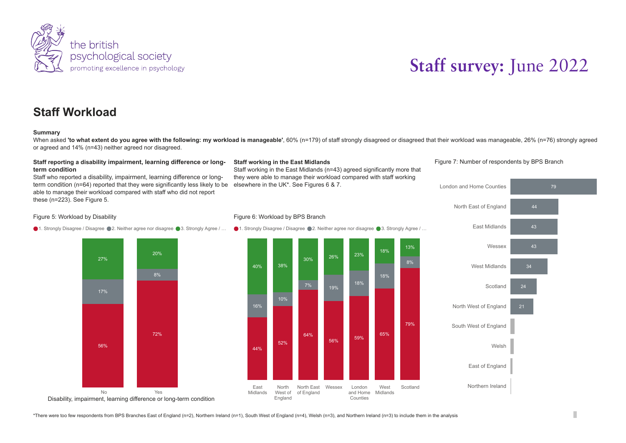

# **Staff Workload**

## **Summary**

When asked 'to what extent do you agree with the following: my workload is manageable', 60% (n=179) of staff strongly disagreed or disagreed that their workload was manageable, 26% (n=76) strongly agreed or agreed and 14% (n=43) neither agreed nor disagreed.

Staff working in the East Midlands (n=43) agreed significantly more that

**Staff working in the East Midlands**

elsewhere in the UK\*. See Figures 6 & 7.

## **Staff reporting a disability impairment, learning difference or longterm condition**

Staff who reported a disability, impairment, learning difference or longterm condition (n=64) reported that they were significantly less likely to be able to manage their workload compared with staff who did not report these (n=223). See Figure 5.

## Figure 5: Workload by Disability

● 1. Strongly Disagree / Disagree ● 2. Neither agree nor disagree ● 3. Strongly Agree / …







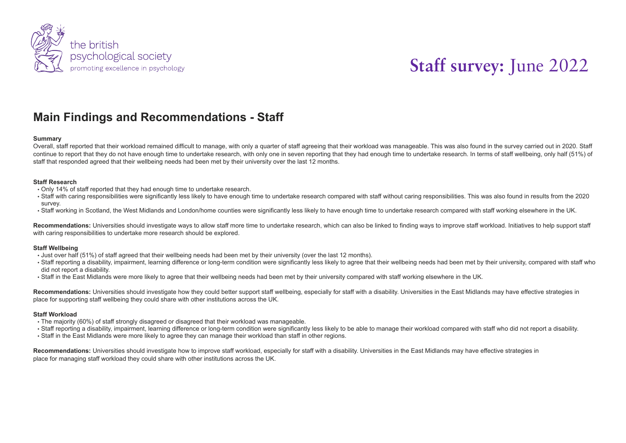

# **Main Findings and Recommendations - Staff**

#### **Summary**

Overall, staff reported that their workload remained difficult to manage, with only a quarter of staff agreeing that their workload was manageable. This was also found in the survey carried out in 2020. Staff continue to report that they do not have enough time to undertake research, with only one in seven reporting that they had enough time to undertake research. In terms of staff wellbeing, only half (51%) of staff that responded agreed that their wellbeing needs had been met by their university over the last 12 months.

## **Staff Research**

- Only 14% of staff reported that they had enough time to undertake research.
- Staff with caring responsibilities were significantly less likely to have enough time to undertake research compared with staff without caring responsibilities. This was also found in results from the 2020 survey.
- Staff working in Scotland, the West Midlands and London/home counties were significantly less likely to have enough time to undertake research compared with staff working elsewhere in the UK.

Recommendations: Universities should investigate ways to allow staff more time to undertake research, which can also be linked to finding ways to improve staff workload. Initiatives to help support staff with caring responsibilities to undertake more research should be explored.

## **Staff Wellbeing**

- Just over half (51%) of staff agreed that their wellbeing needs had been met by their university (over the last 12 months).
- Staff reporting a disability, impairment, learning difference or long-term condition were significantly less likely to agree that their wellbeing needs had been met by their university, compared with staff who did not report a disability.
- Staff in the East Midlands were more likely to agree that their wellbeing needs had been met by their university compared with staff working elsewhere in the UK.

Recommendations: Universities should investigate how they could better support staff wellbeing, especially for staff with a disability. Universities in the East Midlands may have effective strategies in place for supporting staff wellbeing they could share with other institutions across the UK.

#### **Staff Workload**

- The majority (60%) of staff strongly disagreed or disagreed that their workload was manageable.
- Staff reporting a disability, impairment, learning difference or long-term condition were significantly less likely to be able to manage their workload compared with staff who did not report a disability.
- Staff in the East Midlands were more likely to agree they can manage their workload than staff in other regions.

Recommendations: Universities should investigate how to improve staff workload, especially for staff with a disability. Universities in the East Midlands may have effective strategies in place for managing staff workload they could share with other institutions across the UK.